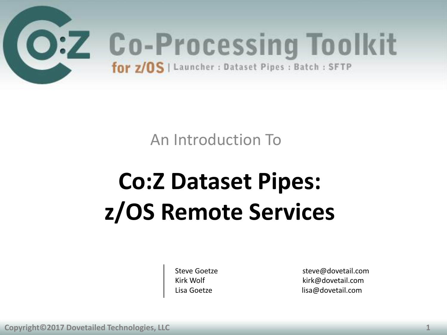

An Introduction To

## **Co:Z Dataset Pipes: z/OS Remote Services**

Steve Goetze steve@dovetail.com Kirk Wolf **Kirk** Wolf **Kirk** Muslim Kirk@dovetail.com Lisa Goetze lisa@dovetail.com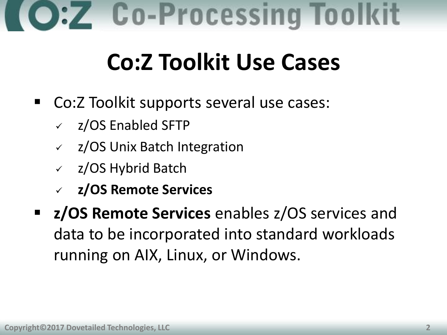## **Co-Processing Toolkit**

### **Co:Z Toolkit Use Cases**

- Co:Z Toolkit supports several use cases:
	- $\sqrt{2}/\text{OS}$  Enabled SFTP
	- $\sqrt{2}/\sqrt{OS}$  Unix Batch Integration
	- $\sqrt{2}/\text{OS}$  Hybrid Batch
	- **z/OS Remote Services**
- **z/OS Remote Services** enables z/OS services and data to be incorporated into standard workloads running on AIX, Linux, or Windows.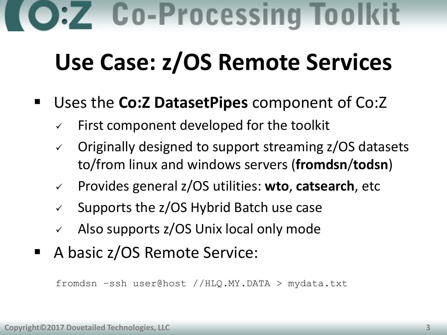### **Use Case: z/OS Remote Services**

#### Uses the **Co:Z DatasetPipes** component of Co:Z

- First component developed for the toolkit
- $\vee$  Originally designed to support streaming  $z/OS$  datasets to/from linux and windows servers (**fromdsn**/**todsn**)
- Provides general z/OS utilities: **wto**, **catsearch**, etc
- $\checkmark$  Supports the z/OS Hybrid Batch use case
- Also supports z/OS Unix local only mode
- A basic z/OS Remote Service:

fromdsn –ssh user@host //HLQ.MY.DATA > mydata.txt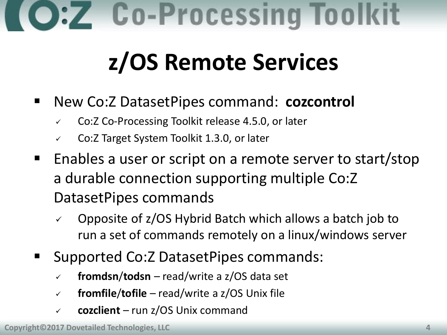### **z/OS Remote Services**

- New Co:Z DatasetPipes command: **cozcontrol**
	- Co:Z Co-Processing Toolkit release 4.5.0, or later
	- $\checkmark$  Co:Z Target System Toolkit 1.3.0, or later
- **Enables a user or script on a remote server to start/stop** a durable connection supporting multiple Co:Z DatasetPipes commands
	- $\sim$  Opposite of z/OS Hybrid Batch which allows a batch job to run a set of commands remotely on a linux/windows server
- Supported Co:Z DatasetPipes commands:
	- **fromdsn**/**todsn** read/write a z/OS data set
	- **fromfile**/**tofile** read/write a z/OS Unix file
	- **cozclient** run z/OS Unix command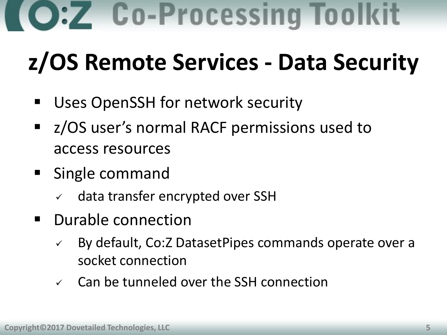## **z/OS Remote Services - Data Security**

- Uses OpenSSH for network security
- z/OS user's normal RACF permissions used to access resources
- Single command
	- $\checkmark$  data transfer encrypted over SSH
- **•** Durable connection
	- By default, Co:Z DatasetPipes commands operate over a socket connection
	- $\checkmark$  Can be tunneled over the SSH connection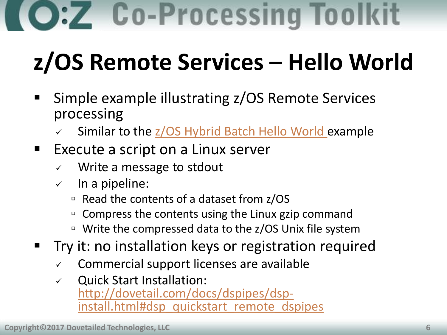**Co-Processing Toolkit** 

## **z/OS Remote Services – Hello World**

- Simple example illustrating z/OS Remote Services processing
	- Similar to the  $\frac{z}{OS}$  Hybrid Batch Hello World example
- **Execute a script on a Linux server** 
	- $\checkmark$  Write a message to stdout
	- $\checkmark$  In a pipeline:
		- $\overline{P}$  Read the contents of a dataset from z/OS
		- <sup>D</sup> Compress the contents using the Linux gzip command
		- □ Write the compressed data to the z/OS Unix file system
- **Try it: no installation keys or registration required** 
	- $\checkmark$  Commercial support licenses are available
	- $\checkmark$  Quick Start Installation: [http://dovetail.com/docs/dspipes/dsp](http://dovetail.com/docs/dspipes/dsp-install.html#dsp_quickstart_remote_dspipes)[install.html#dsp\\_quickstart\\_remote\\_dspipes](http://dovetail.com/docs/dspipes/dsp-install.html#dsp_quickstart_remote_dspipes)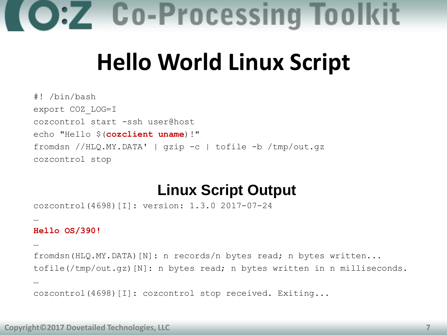

#### **Hello World Linux Script**

#! /bin/bash export COZ\_LOG=I cozcontrol start -ssh user@host echo "Hello \$(**cozclient uname**)!" fromdsn //HLQ.MY.DATA' | gzip -c | tofile -b /tmp/out.gz cozcontrol stop

#### **Linux Script Output**

cozcontrol(4698)[I]: version: 1.3.0 2017-07-24

#### **Hello OS/390!**

…

… fromdsn(HLQ.MY.DATA)[N]: n records/n bytes read; n bytes written... tofile(/tmp/out.gz)[N]: n bytes read; n bytes written in n milliseconds. …

cozcontrol(4698)[I]: cozcontrol stop received. Exiting...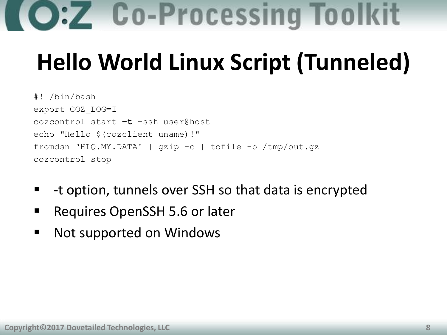## **Hello World Linux Script (Tunneled)**

```
#! /bin/bash
export COZ_LOG=I
cozcontrol start –t -ssh user@host
echo "Hello $(cozclient uname)!"
fromdsn 'HLQ.MY.DATA' | gzip -c | tofile -b /tmp/out.gz
cozcontrol stop
```
- -t option, tunnels over SSH so that data is encrypted
- Requires OpenSSH 5.6 or later
- **Not supported on Windows**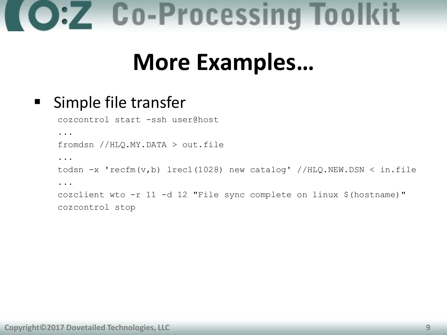#### **More Examples…**

#### ■ Simple file transfer

cozcontrol start -ssh user@host

...

fromdsn //HLQ.MY.DATA > out.file

...

```
todsn -x 'recfm(v,b) lrecl(1028) new catalog' //HLQ.NEW.DSN < in.file
...
cozclient wto -r 11 -d 12 "File sync complete on linux $(hostname)"
cozcontrol stop
```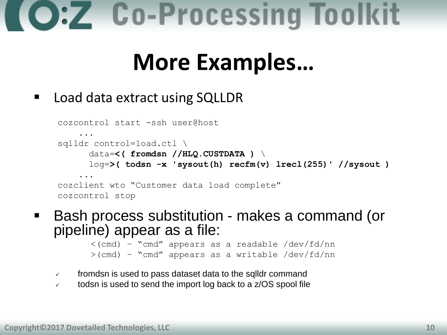#### **More Examples…**

#### ■ Load data extract using SQLLDR

```
cozcontrol start -ssh user@host
 ...
sqlldr control=load.ctl \
       data=<( fromdsn //HLQ.CUSTDATA ) \
       log=>( todsn -x 'sysout(h) recfm(v) lrecl(255)' //sysout ) 
 ...
cozclient wto "Customer data load complete"
cozcontrol stop
```
■ Bash process substitution - makes a command (or pipeline) appear as a file:

```
\langle(cmd) - "cmd" appears as a readable /dev/fd/nn
>(cmd) – "cmd" appears as a writable /dev/fd/nn
```
- $\sqrt{ }$  fromdsn is used to pass dataset data to the sqlldr command
- $\sqrt{ }$  todsn is used to send the import log back to a z/OS spool file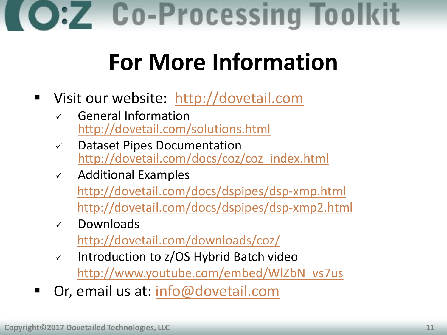### **For More Information**

- Visit our website: [http://dovetail.com](http://dovetail.com/)
	- $\sqrt{ }$  General Information <http://dovetail.com/solutions.html>
	- $\checkmark$  Dataset Pipes Documentation [http://dovetail.com/docs/coz/coz\\_index.html](http://dovetail.com/docs/coz/coz_index.html)
	- $\checkmark$  Additional Examples <http://dovetail.com/docs/dspipes/dsp-xmp.html> <http://dovetail.com/docs/dspipes/dsp-xmp2.html>
	- $\checkmark$  Downloads

<http://dovetail.com/downloads/coz/>

- $\checkmark$  Introduction to z/OS Hybrid Batch video [http://www.youtube.com/embed/WlZbN\\_vs7us](http://www.youtube.com/embed/WlZbN_vs7us)
- Or, email us at: [info@dovetail.com](mailto:info@dovetail.com)